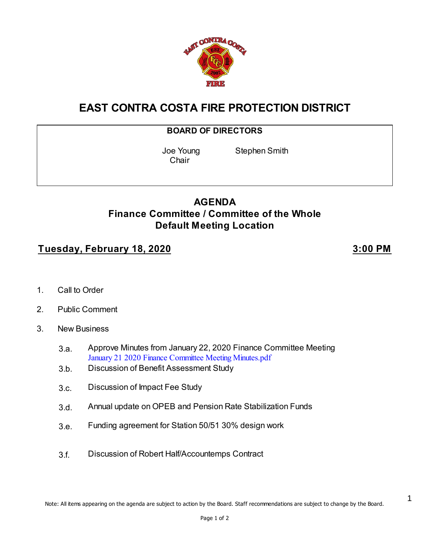

# **EAST CONTRA COSTA FIRE PROTECTION DISTRICT**

#### **BOARD OF DIRECTORS**

**Chair** 

Joe Young Stephen Smith

#### **AGENDA Finance Committee / Committee of the Whole Default Meeting Location**

#### **Tuesday, February 18, 2020 3:00 PM**

1

- 1. Call to Order
- 2. Public Comment
- 3. New Business
	- 3.a. Approve Minutes from January 22, 2020 Finance Committee Meeting [January 21 2020 Finance Committee Meeting Minutes.pdf](https://legistarweb-production.s3.amazonaws.com/uploads/attachment/pdf/533206/January_21_2020_Finance_Committee_Meeting_Minutes.pdf)
	- 3.b. Discussion of Benefit Assessment Study
	- 3.c. Discussion of Impact Fee Study
	- 3.d. Annual update on OPEB and Pension Rate Stabilization Funds
	- 3.e. Funding agreement for Station 50/51 30% design work
	- 3.f. Discussion of Robert Half/Accountemps Contract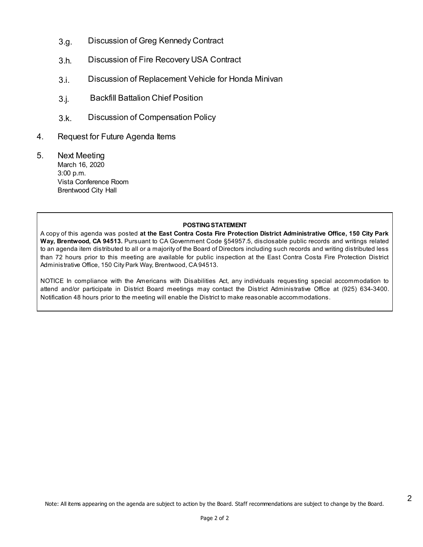- 3.g. Discussion of Greg Kennedy Contract
- 3.h. Discussion of Fire Recovery USA Contract
- 3.i. Discussion of Replacement Vehicle for Honda Minivan
- 3.j. Backfill Battalion Chief Position
- 3.k. Discussion of Compensation Policy
- 4. Request for Future Agenda Items
- 5. Next Meeting March 16, 2020 3:00 p.m. Vista Conference Room Brentwood City Hall

#### **POSTING STATEMENT**

A copy of this agenda was posted **at the East Contra Costa Fire Protection District Administrative Office, 150 City Park Way, Brentwood, CA 94513.** Pursuant to CA Government Code §54957.5, disclosable public records and writings related to an agenda item distributed to all or a majority of the Board of Directors including such records and writing distributed less than 72 hours prior to this meeting are available for public inspection at the East Contra Costa Fire Protection District Administrative Office, 150 City Park Way, Brentwood, CA 94513.

NOTICE In compliance with the Americans with Disabilities Act, any individuals requesting special accommodation to attend and/or participate in District Board meetings may contact the District Administrative Office at (925) 634-3400. Notification 48 hours prior to the meeting will enable the District to make reasonable accommodations.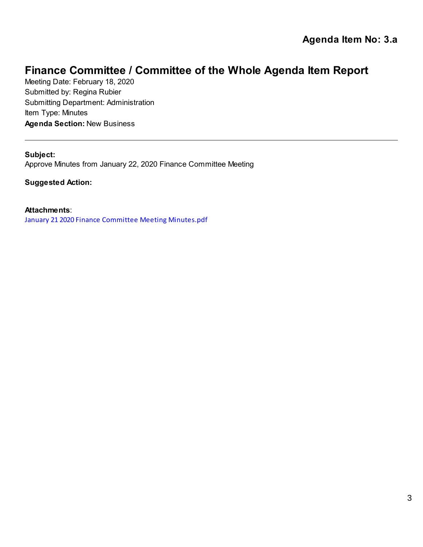Meeting Date: February 18, 2020 Submitted by: Regina Rubier Submitting Department: Administration Item Type: Minutes **Agenda Section:** New Business

**Subject:** Approve Minutes from January 22, 2020 Finance Committee Meeting

**Suggested Action:**

**Attachments**:

[January 21 2020 Finance Committee Meeting Minutes.pdf](https://legistarweb-production.s3.amazonaws.com/uploads/attachment/attachment/533206/January_21_2020_Finance_Committee_Meeting_Minutes.pdf)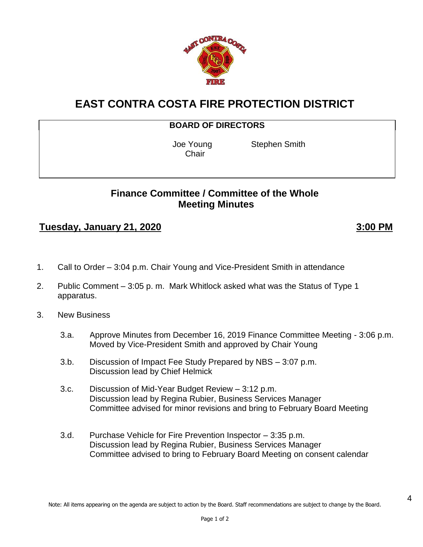

#### **EAST CONTRA COSTA FIRE PROTECTION DISTRICT**

#### **BOARD OF DIRECTORS**

**Chair** 

Joe Young Stephen Smith

#### **Finance Committee / Committee of the Whole Meeting Minutes**

#### **Tuesday, January 21, 2020 3:00 PM**

4

- 1. Call to Order 3:04 p.m. Chair Young and Vice-President Smith in attendance
- 2. Public Comment 3:05 p. m. Mark Whitlock asked what was the Status of Type 1 apparatus.
- 3. New Business
	- 3.a. Approve Minutes from December 16, 2019 Finance Committee Meeting 3:06 p.m. Moved by Vice-President Smith and approved by Chair Young
	- 3.b. Discussion of Impact Fee Study Prepared by NBS 3:07 p.m. Discussion lead by Chief Helmick
	- 3.c. Discussion of Mid-Year Budget Review 3:12 p.m. Discussion lead by Regina Rubier, Business Services Manager Committee advised for minor revisions and bring to February Board Meeting
	- 3.d. Purchase Vehicle for Fire Prevention Inspector 3:35 p.m. Discussion lead by Regina Rubier, Business Services Manager Committee advised to bring to February Board Meeting on consent calendar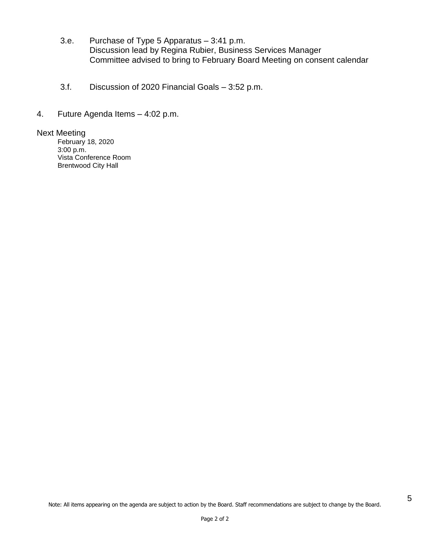- 3.e. Purchase of Type 5 Apparatus 3:41 p.m. Discussion lead by Regina Rubier, Business Services Manager Committee advised to bring to February Board Meeting on consent calendar
- 3.f. Discussion of 2020 Financial Goals 3:52 p.m.
- 4. Future Agenda Items 4:02 p.m.

#### Next Meeting

February 18, 2020 3:00 p.m. Vista Conference Room Brentwood City Hall

5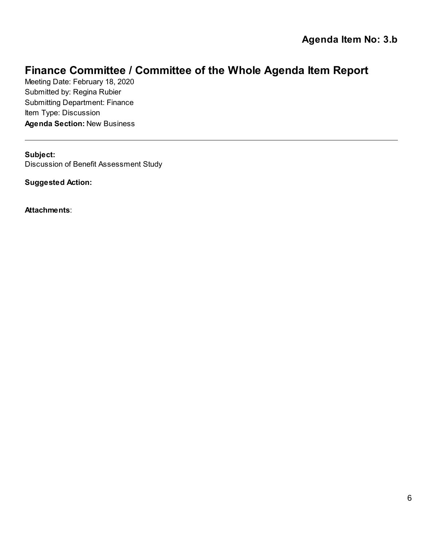Meeting Date: February 18, 2020 Submitted by: Regina Rubier Submitting Department: Finance Item Type: Discussion **Agenda Section:** New Business

**Subject:** Discussion of Benefit Assessment Study

**Suggested Action:**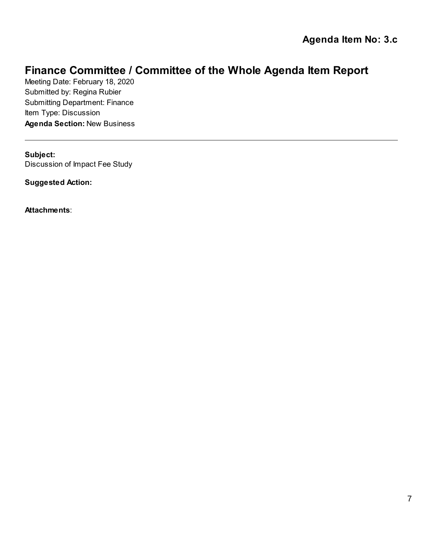Meeting Date: February 18, 2020 Submitted by: Regina Rubier Submitting Department: Finance Item Type: Discussion **Agenda Section:** New Business

**Subject:** Discussion of Impact Fee Study

**Suggested Action:**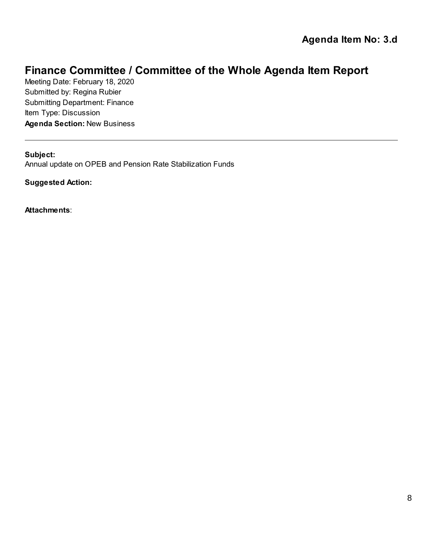Meeting Date: February 18, 2020 Submitted by: Regina Rubier Submitting Department: Finance Item Type: Discussion **Agenda Section:** New Business

#### **Subject:**

Annual update on OPEB and Pension Rate Stabilization Funds

**Suggested Action:**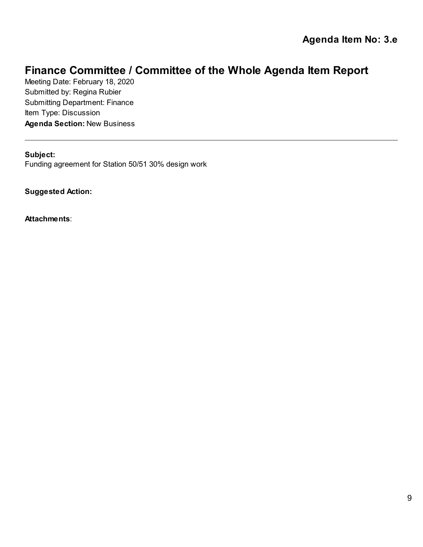Meeting Date: February 18, 2020 Submitted by: Regina Rubier Submitting Department: Finance Item Type: Discussion **Agenda Section:** New Business

#### **Subject:**

Funding agreement for Station 50/51 30% design work

**Suggested Action:**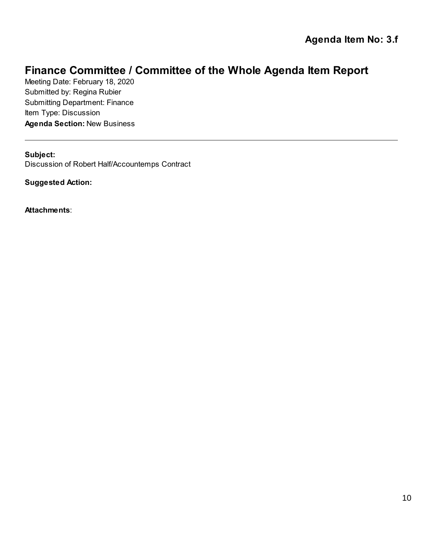Meeting Date: February 18, 2020 Submitted by: Regina Rubier Submitting Department: Finance Item Type: Discussion **Agenda Section:** New Business

**Subject:** Discussion of Robert Half/Accountemps Contract

**Suggested Action:**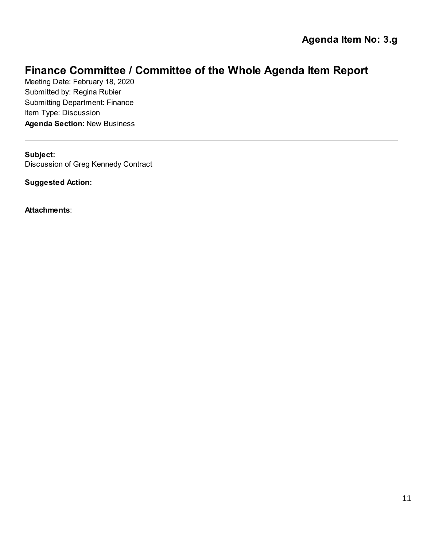Meeting Date: February 18, 2020 Submitted by: Regina Rubier Submitting Department: Finance Item Type: Discussion **Agenda Section:** New Business

**Subject:** Discussion of Greg Kennedy Contract

**Suggested Action:**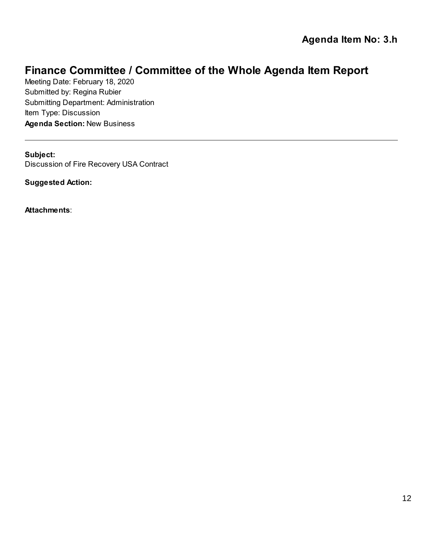Meeting Date: February 18, 2020 Submitted by: Regina Rubier Submitting Department: Administration Item Type: Discussion **Agenda Section:** New Business

**Subject:** Discussion of Fire Recovery USA Contract

**Suggested Action:**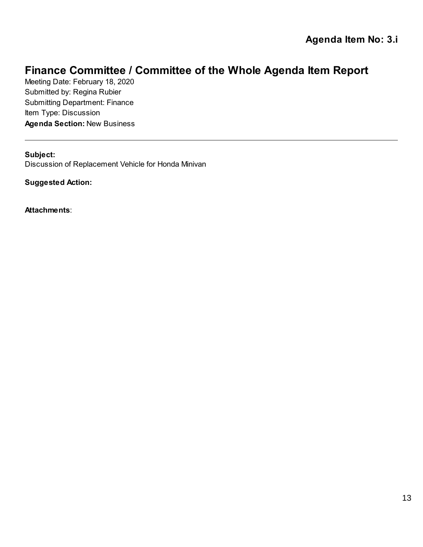Meeting Date: February 18, 2020 Submitted by: Regina Rubier Submitting Department: Finance Item Type: Discussion **Agenda Section:** New Business

**Subject:**

Discussion of Replacement Vehicle for Honda Minivan

**Suggested Action:**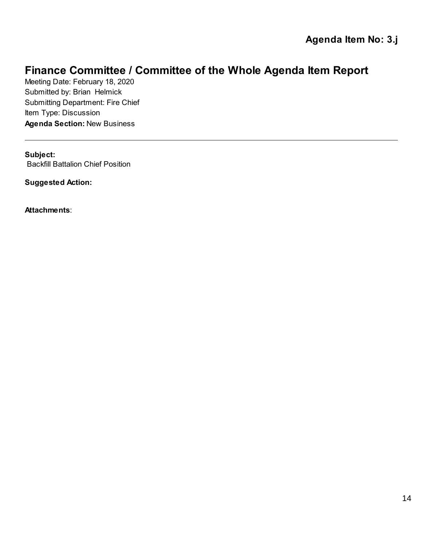Meeting Date: February 18, 2020 Submitted by: Brian Helmick Submitting Department: Fire Chief Item Type: Discussion **Agenda Section:** New Business

**Subject:** Backfill Battalion Chief Position

**Suggested Action:**